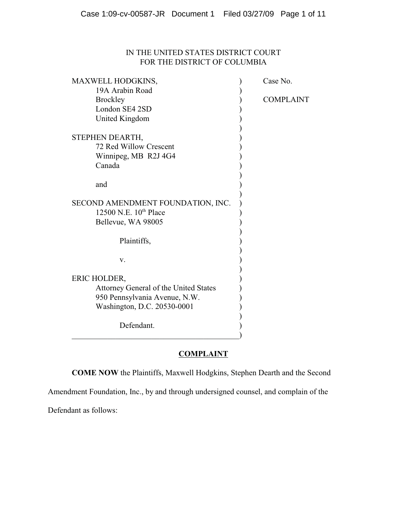# IN THE UNITED STATES DISTRICT COURT FOR THE DISTRICT OF COLUMBIA

| MAXWELL HODGKINS,                     | Case No.         |
|---------------------------------------|------------------|
| 19A Arabin Road                       |                  |
| <b>Brockley</b>                       | <b>COMPLAINT</b> |
| London SE4 2SD                        |                  |
| United Kingdom                        |                  |
|                                       |                  |
| STEPHEN DEARTH,                       |                  |
| 72 Red Willow Crescent                |                  |
| Winnipeg, MB R2J 4G4                  |                  |
| Canada                                |                  |
|                                       |                  |
| and                                   |                  |
|                                       |                  |
| SECOND AMENDMENT FOUNDATION, INC.     |                  |
| 12500 N.E. 10th Place                 |                  |
| Bellevue, WA 98005                    |                  |
|                                       |                  |
| Plaintiffs,                           |                  |
|                                       |                  |
| V.                                    |                  |
|                                       |                  |
| ERIC HOLDER,                          |                  |
|                                       |                  |
| Attorney General of the United States |                  |
| 950 Pennsylvania Avenue, N.W.         |                  |
| Washington, D.C. 20530-0001           |                  |
|                                       |                  |
| Defendant.                            |                  |
|                                       |                  |

# **COMPLAINT**

**COME NOW** the Plaintiffs, Maxwell Hodgkins, Stephen Dearth and the Second

Amendment Foundation, Inc., by and through undersigned counsel, and complain of the

Defendant as follows: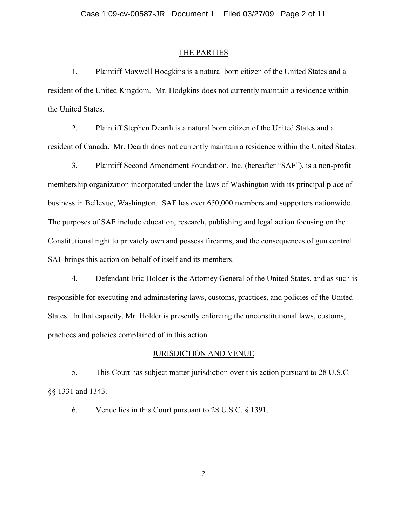#### THE PARTIES

1. Plaintiff Maxwell Hodgkins is a natural born citizen of the United States and a resident of the United Kingdom. Mr. Hodgkins does not currently maintain a residence within the United States.

2. Plaintiff Stephen Dearth is a natural born citizen of the United States and a resident of Canada. Mr. Dearth does not currently maintain a residence within the United States.

3. Plaintiff Second Amendment Foundation, Inc. (hereafter "SAF"), is a non-profit membership organization incorporated under the laws of Washington with its principal place of business in Bellevue, Washington. SAF has over 650,000 members and supporters nationwide. The purposes of SAF include education, research, publishing and legal action focusing on the Constitutional right to privately own and possess firearms, and the consequences of gun control. SAF brings this action on behalf of itself and its members.

4. Defendant Eric Holder is the Attorney General of the United States, and as such is responsible for executing and administering laws, customs, practices, and policies of the United States. In that capacity, Mr. Holder is presently enforcing the unconstitutional laws, customs, practices and policies complained of in this action.

#### JURISDICTION AND VENUE

5. This Court has subject matter jurisdiction over this action pursuant to 28 U.S.C. §§ 1331 and 1343.

6. Venue lies in this Court pursuant to 28 U.S.C. § 1391.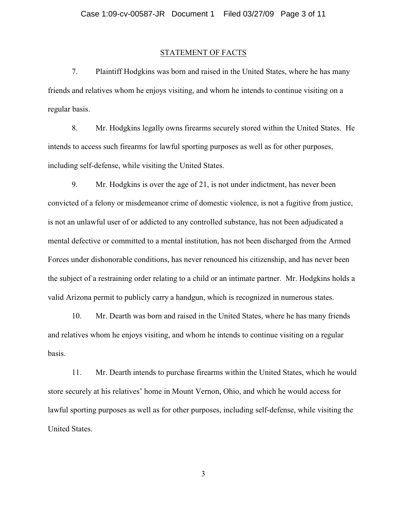### STATEMENT OF FACTS

7. Plaintiff Hodgkins was born and raised in the United States, where he has many friends and relatives whom he enjoys visiting, and whom he intends to continue visiting on a regular basis.

8. Mr. Hodgkins legally owns firearms securely stored within the United States. He intends to access such firearms for lawful sporting purposes as well as for other purposes, including self-defense, while visiting the United States.

9. Mr. Hodgkins is over the age of 21, is not under indictment, has never been convicted of a felony or misdemeanor crime of domestic violence, is not a fugitive from justice, is not an unlawful user of or addicted to any controlled substance, has not been adjudicated a mental defective or committed to a mental institution, has not been discharged from the Armed Forces under dishonorable conditions, has never renounced his citizenship, and has never been the subject of a restraining order relating to a child or an intimate partner. Mr. Hodgkins holds a valid Arizona permit to publicly carry a handgun, which is recognized in numerous states.

10. Mr. Dearth was born and raised in the United States, where he has many friends and relatives whom he enjoys visiting, and whom he intends to continue visiting on a regular basis.

11. Mr. Dearth intends to purchase firearms within the United States, which he would store securely at his relatives' home in Mount Vernon, Ohio, and which he would access for lawful sporting purposes as well as for other purposes, including self-defense, while visiting the United States.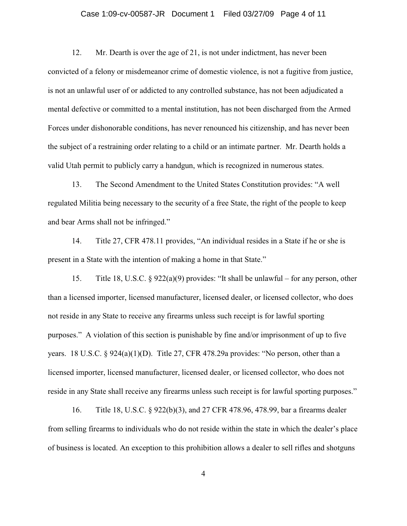### Case 1:09-cv-00587-JR Document 1 Filed 03/27/09 Page 4 of 11

12. Mr. Dearth is over the age of 21, is not under indictment, has never been convicted of a felony or misdemeanor crime of domestic violence, is not a fugitive from justice, is not an unlawful user of or addicted to any controlled substance, has not been adjudicated a mental defective or committed to a mental institution, has not been discharged from the Armed Forces under dishonorable conditions, has never renounced his citizenship, and has never been the subject of a restraining order relating to a child or an intimate partner. Mr. Dearth holds a valid Utah permit to publicly carry a handgun, which is recognized in numerous states.

13. The Second Amendment to the United States Constitution provides: "A well regulated Militia being necessary to the security of a free State, the right of the people to keep and bear Arms shall not be infringed."

14. Title 27, CFR 478.11 provides, "An individual resides in a State if he or she is present in a State with the intention of making a home in that State."

15. Title 18, U.S.C. § 922(a)(9) provides: "It shall be unlawful – for any person, other than a licensed importer, licensed manufacturer, licensed dealer, or licensed collector, who does not reside in any State to receive any firearms unless such receipt is for lawful sporting purposes." A violation of this section is punishable by fine and/or imprisonment of up to five years. 18 U.S.C. § 924(a)(1)(D). Title 27, CFR 478.29a provides: "No person, other than a licensed importer, licensed manufacturer, licensed dealer, or licensed collector, who does not reside in any State shall receive any firearms unless such receipt is for lawful sporting purposes."

 16. Title 18, U.S.C. § 922(b)(3), and 27 CFR 478.96, 478.99, bar a firearms dealer from selling firearms to individuals who do not reside within the state in which the dealer's place of business is located. An exception to this prohibition allows a dealer to sell rifles and shotguns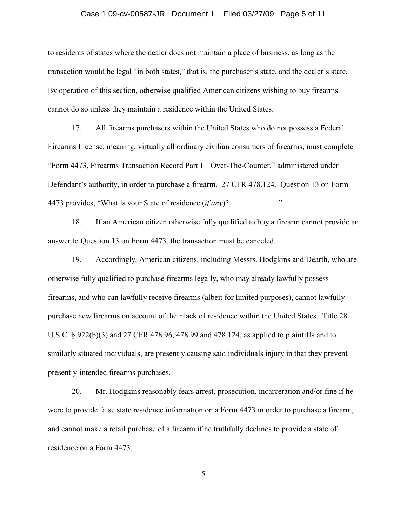### Case 1:09-cv-00587-JR Document 1 Filed 03/27/09 Page 5 of 11

to residents of states where the dealer does not maintain a place of business, as long as the transaction would be legal "in both states," that is, the purchaser's state, and the dealer's state. By operation of this section, otherwise qualified American citizens wishing to buy firearms cannot do so unless they maintain a residence within the United States.

17. All firearms purchasers within the United States who do not possess a Federal Firearms License, meaning, virtually all ordinary civilian consumers of firearms, must complete "Form 4473, Firearms Transaction Record Part I – Over-The-Counter," administered under Defendant's authority, in order to purchase a firearm. 27 CFR 478.124. Question 13 on Form 4473 provides, "What is your State of residence  $(if any)$ ?

18. If an American citizen otherwise fully qualified to buy a firearm cannot provide an answer to Question 13 on Form 4473, the transaction must be canceled.

19. Accordingly, American citizens, including Messrs. Hodgkins and Dearth, who are otherwise fully qualified to purchase firearms legally, who may already lawfully possess firearms, and who can lawfully receive firearms (albeit for limited purposes), cannot lawfully purchase new firearms on account of their lack of residence within the United States. Title 28 U.S.C. § 922(b)(3) and 27 CFR 478.96, 478.99 and 478.124, as applied to plaintiffs and to similarly situated individuals, are presently causing said individuals injury in that they prevent presently-intended firearms purchases.

20. Mr. Hodgkins reasonably fears arrest, prosecution, incarceration and/or fine if he were to provide false state residence information on a Form 4473 in order to purchase a firearm, and cannot make a retail purchase of a firearm if he truthfully declines to provide a state of residence on a Form 4473.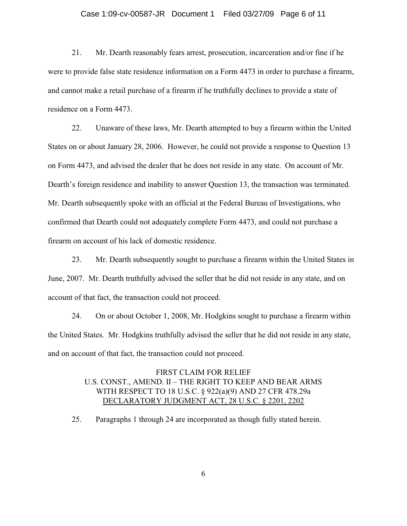### Case 1:09-cv-00587-JR Document 1 Filed 03/27/09 Page 6 of 11

21. Mr. Dearth reasonably fears arrest, prosecution, incarceration and/or fine if he were to provide false state residence information on a Form 4473 in order to purchase a firearm, and cannot make a retail purchase of a firearm if he truthfully declines to provide a state of residence on a Form 4473.

22. Unaware of these laws, Mr. Dearth attempted to buy a firearm within the United States on or about January 28, 2006. However, he could not provide a response to Question 13 on Form 4473, and advised the dealer that he does not reside in any state. On account of Mr. Dearth's foreign residence and inability to answer Question 13, the transaction was terminated. Mr. Dearth subsequently spoke with an official at the Federal Bureau of Investigations, who confirmed that Dearth could not adequately complete Form 4473, and could not purchase a firearm on account of his lack of domestic residence.

23. Mr. Dearth subsequently sought to purchase a firearm within the United States in June, 2007. Mr. Dearth truthfully advised the seller that he did not reside in any state, and on account of that fact, the transaction could not proceed.

24. On or about October 1, 2008, Mr. Hodgkins sought to purchase a firearm within the United States. Mr. Hodgkins truthfully advised the seller that he did not reside in any state, and on account of that fact, the transaction could not proceed.

# FIRST CLAIM FOR RELIEF U.S. CONST., AMEND. II – THE RIGHT TO KEEP AND BEAR ARMS WITH RESPECT TO 18 U.S.C. § 922(a)(9) AND 27 CFR 478.29a DECLARATORY JUDGMENT ACT, 28 U.S.C. § 2201, 2202

25. Paragraphs 1 through 24 are incorporated as though fully stated herein.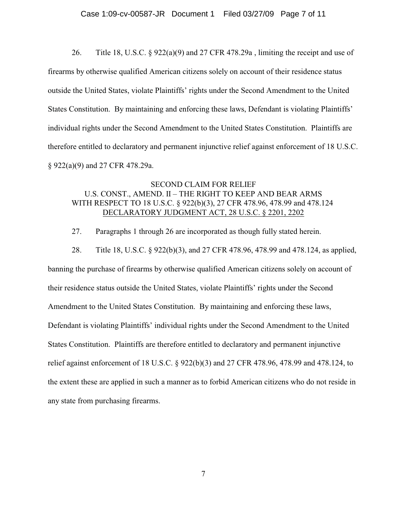26. Title 18, U.S.C.  $\S 922(a)(9)$  and 27 CFR 478.29a, limiting the receipt and use of firearms by otherwise qualified American citizens solely on account of their residence status outside the United States, violate Plaintiffs' rights under the Second Amendment to the United States Constitution. By maintaining and enforcing these laws, Defendant is violating Plaintiffs' individual rights under the Second Amendment to the United States Constitution. Plaintiffs are therefore entitled to declaratory and permanent injunctive relief against enforcement of 18 U.S.C. § 922(a)(9) and 27 CFR 478.29a.

### SECOND CLAIM FOR RELIEF U.S. CONST., AMEND. II – THE RIGHT TO KEEP AND BEAR ARMS WITH RESPECT TO 18 U.S.C. § 922(b)(3), 27 CFR 478.96, 478.99 and 478.124 DECLARATORY JUDGMENT ACT, 28 U.S.C. § 2201, 2202

27. Paragraphs 1 through 26 are incorporated as though fully stated herein.

28. Title 18, U.S.C. § 922(b)(3), and 27 CFR 478.96, 478.99 and 478.124, as applied, banning the purchase of firearms by otherwise qualified American citizens solely on account of their residence status outside the United States, violate Plaintiffs' rights under the Second Amendment to the United States Constitution. By maintaining and enforcing these laws, Defendant is violating Plaintiffs' individual rights under the Second Amendment to the United States Constitution. Plaintiffs are therefore entitled to declaratory and permanent injunctive relief against enforcement of 18 U.S.C. § 922(b)(3) and 27 CFR 478.96, 478.99 and 478.124, to the extent these are applied in such a manner as to forbid American citizens who do not reside in any state from purchasing firearms.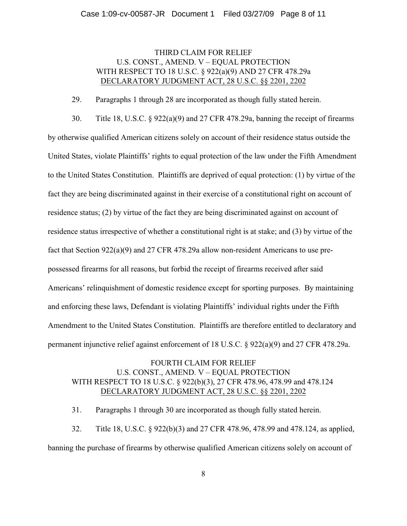### THIRD CLAIM FOR RELIEF U.S. CONST., AMEND. V – EQUAL PROTECTION WITH RESPECT TO 18 U.S.C. § 922(a)(9) AND 27 CFR 478.29a DECLARATORY JUDGMENT ACT, 28 U.S.C. §§ 2201, 2202

29. Paragraphs 1 through 28 are incorporated as though fully stated herein.

30. Title 18, U.S.C. § 922(a)(9) and 27 CFR 478.29a, banning the receipt of firearms by otherwise qualified American citizens solely on account of their residence status outside the United States, violate Plaintiffs' rights to equal protection of the law under the Fifth Amendment to the United States Constitution. Plaintiffs are deprived of equal protection: (1) by virtue of the fact they are being discriminated against in their exercise of a constitutional right on account of residence status; (2) by virtue of the fact they are being discriminated against on account of residence status irrespective of whether a constitutional right is at stake; and (3) by virtue of the fact that Section 922(a)(9) and 27 CFR 478.29a allow non-resident Americans to use prepossessed firearms for all reasons, but forbid the receipt of firearms received after said Americans' relinquishment of domestic residence except for sporting purposes. By maintaining and enforcing these laws, Defendant is violating Plaintiffs' individual rights under the Fifth Amendment to the United States Constitution. Plaintiffs are therefore entitled to declaratory and permanent injunctive relief against enforcement of 18 U.S.C. § 922(a)(9) and 27 CFR 478.29a.

# FOURTH CLAIM FOR RELIEF U.S. CONST., AMEND. V – EQUAL PROTECTION WITH RESPECT TO 18 U.S.C. § 922(b)(3), 27 CFR 478.96, 478.99 and 478.124 DECLARATORY JUDGMENT ACT, 28 U.S.C. §§ 2201, 2202

31. Paragraphs 1 through 30 are incorporated as though fully stated herein.

32. Title 18, U.S.C. § 922(b)(3) and 27 CFR 478.96, 478.99 and 478.124, as applied, banning the purchase of firearms by otherwise qualified American citizens solely on account of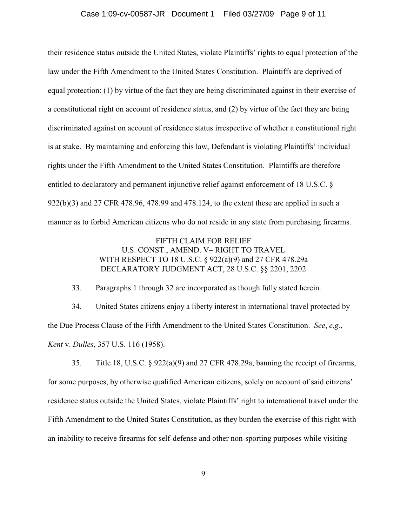their residence status outside the United States, violate Plaintiffs' rights to equal protection of the law under the Fifth Amendment to the United States Constitution. Plaintiffs are deprived of equal protection: (1) by virtue of the fact they are being discriminated against in their exercise of a constitutional right on account of residence status, and (2) by virtue of the fact they are being discriminated against on account of residence status irrespective of whether a constitutional right is at stake. By maintaining and enforcing this law, Defendant is violating Plaintiffs' individual rights under the Fifth Amendment to the United States Constitution. Plaintiffs are therefore entitled to declaratory and permanent injunctive relief against enforcement of 18 U.S.C. § 922(b)(3) and 27 CFR 478.96, 478.99 and 478.124, to the extent these are applied in such a manner as to forbid American citizens who do not reside in any state from purchasing firearms.

# FIFTH CLAIM FOR RELIEF U.S. CONST., AMEND. V– RIGHT TO TRAVEL WITH RESPECT TO 18 U.S.C. § 922(a)(9) and 27 CFR 478.29a DECLARATORY JUDGMENT ACT, 28 U.S.C. §§ 2201, 2202

33. Paragraphs 1 through 32 are incorporated as though fully stated herein.

34. United States citizens enjoy a liberty interest in international travel protected by the Due Process Clause of the Fifth Amendment to the United States Constitution. *See*, *e.g.*, *Kent* v. *Dulles*, 357 U.S. 116 (1958).

35. Title 18, U.S.C.  $\S 922(a)(9)$  and 27 CFR 478.29a, banning the receipt of firearms, for some purposes, by otherwise qualified American citizens, solely on account of said citizens' residence status outside the United States, violate Plaintiffs' right to international travel under the Fifth Amendment to the United States Constitution, as they burden the exercise of this right with an inability to receive firearms for self-defense and other non-sporting purposes while visiting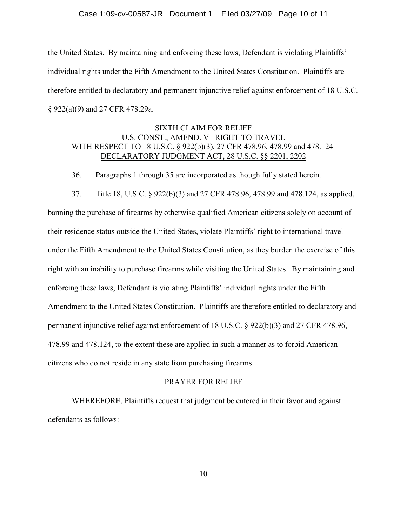the United States. By maintaining and enforcing these laws, Defendant is violating Plaintiffs' individual rights under the Fifth Amendment to the United States Constitution. Plaintiffs are therefore entitled to declaratory and permanent injunctive relief against enforcement of 18 U.S.C. § 922(a)(9) and 27 CFR 478.29a.

# SIXTH CLAIM FOR RELIEF U.S. CONST., AMEND. V– RIGHT TO TRAVEL WITH RESPECT TO 18 U.S.C. § 922(b)(3), 27 CFR 478.96, 478.99 and 478.124 DECLARATORY JUDGMENT ACT, 28 U.S.C. §§ 2201, 2202

36. Paragraphs 1 through 35 are incorporated as though fully stated herein.

37. Title 18, U.S.C. § 922(b)(3) and 27 CFR 478.96, 478.99 and 478.124, as applied, banning the purchase of firearms by otherwise qualified American citizens solely on account of their residence status outside the United States, violate Plaintiffs' right to international travel under the Fifth Amendment to the United States Constitution, as they burden the exercise of this right with an inability to purchase firearms while visiting the United States. By maintaining and enforcing these laws, Defendant is violating Plaintiffs' individual rights under the Fifth Amendment to the United States Constitution. Plaintiffs are therefore entitled to declaratory and permanent injunctive relief against enforcement of 18 U.S.C. § 922(b)(3) and 27 CFR 478.96, 478.99 and 478.124, to the extent these are applied in such a manner as to forbid American citizens who do not reside in any state from purchasing firearms.

#### PRAYER FOR RELIEF

WHEREFORE, Plaintiffs request that judgment be entered in their favor and against defendants as follows: